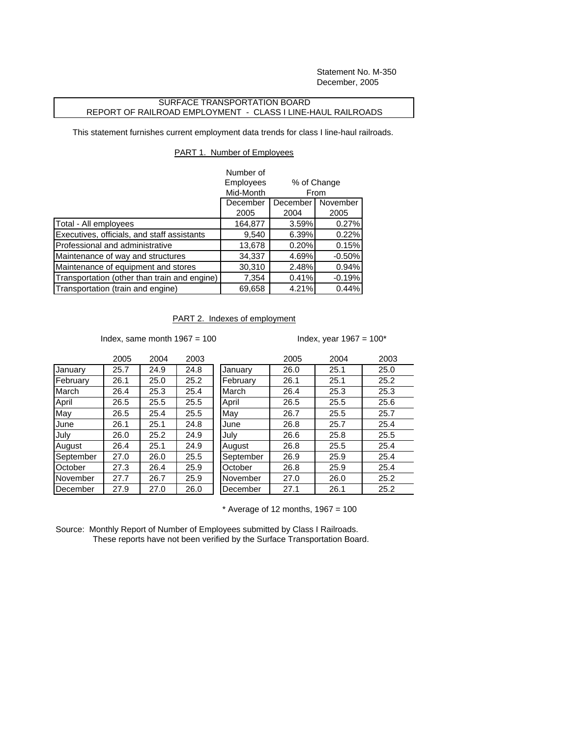Statement No. M-350 December, 2005

## SURFACE TRANSPORTATION BOARD REPORT OF RAILROAD EMPLOYMENT - CLASS I LINE-HAUL RAILROADS

This statement furnishes current employment data trends for class I line-haul railroads.

## PART 1. Number of Employees

|                                              | Number of |                                             |          |
|----------------------------------------------|-----------|---------------------------------------------|----------|
|                                              | Employees | % of Change<br>From<br>November<br>December |          |
|                                              | Mid-Month |                                             |          |
|                                              | December  |                                             |          |
|                                              | 2005      | 2004                                        | 2005     |
| Total - All employees                        | 164,877   | 3.59%                                       | 0.27%    |
| Executives, officials, and staff assistants  | 9,540     | 6.39%                                       | 0.22%    |
| Professional and administrative              | 13,678    | 0.20%                                       | 0.15%    |
| Maintenance of way and structures            | 34,337    | 4.69%                                       | $-0.50%$ |
| Maintenance of equipment and stores          | 30,310    | 2.48%                                       | 0.94%    |
| Transportation (other than train and engine) | 7,354     | 0.41%                                       | $-0.19%$ |
| Transportation (train and engine)            | 69,658    | 4.21%                                       | 0.44%    |

## PART 2. Indexes of employment

Index, same month  $1967 = 100$  Index, year  $1967 = 100$ \*

|           | 2005 | 2004 | 2003 |           | 2005 | 2004 | 2003 |
|-----------|------|------|------|-----------|------|------|------|
| January   | 25.7 | 24.9 | 24.8 | January   | 26.0 | 25.1 | 25.0 |
| February  | 26.1 | 25.0 | 25.2 | February  | 26.1 | 25.1 | 25.2 |
| March     | 26.4 | 25.3 | 25.4 | March     | 26.4 | 25.3 | 25.3 |
| April     | 26.5 | 25.5 | 25.5 | April     | 26.5 | 25.5 | 25.6 |
| May       | 26.5 | 25.4 | 25.5 | May       | 26.7 | 25.5 | 25.7 |
| June      | 26.1 | 25.1 | 24.8 | June      | 26.8 | 25.7 | 25.4 |
| July      | 26.0 | 25.2 | 24.9 | July      | 26.6 | 25.8 | 25.5 |
| August    | 26.4 | 25.1 | 24.9 | August    | 26.8 | 25.5 | 25.4 |
| September | 27.0 | 26.0 | 25.5 | September | 26.9 | 25.9 | 25.4 |
| October   | 27.3 | 26.4 | 25.9 | October   | 26.8 | 25.9 | 25.4 |
| November  | 27.7 | 26.7 | 25.9 | November  | 27.0 | 26.0 | 25.2 |
| December  | 27.9 | 27.0 | 26.0 | December  | 27.1 | 26.1 | 25.2 |
|           |      |      |      |           |      |      |      |

 $*$  Average of 12 months, 1967 = 100

Source: Monthly Report of Number of Employees submitted by Class I Railroads. These reports have not been verified by the Surface Transportation Board.